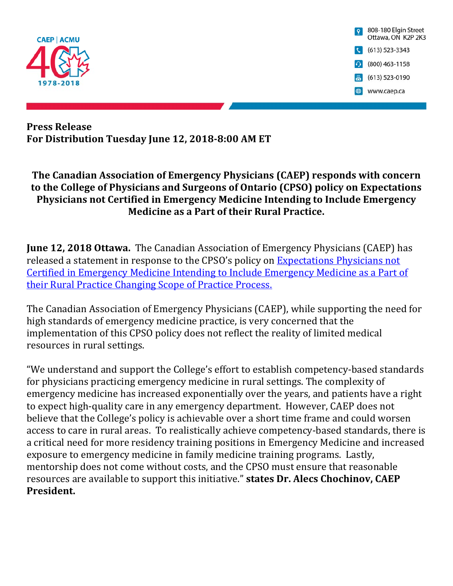

#### **Press Release For Distribution Tuesday June 12, 2018‐8:00 AM ET**

## **The Canadian Association of Emergency Physicians (CAEP) responds with concern to the College of Physicians and Surgeons of Ontario (CPSO) policy on Expectations Physicians not Certified in Emergency Medicine Intending to Include Emergency Medicine as a Part of their Rural Practice.**

**June 12, 2018 Ottawa.** The Canadian Association of Emergency Physicians (CAEP) has released a statement in response to the CPSO's policy on Expectations Physicians not [Certified in Emergency Medicine Intending to Include Emergency Medicine as a Part of](http://www.cpso.on.ca/cpso/media/documents/policies/policy-items/expectations-physicians-emerg-med-rural-practice.pdf)  their Rural Practice Changing Scope of Practice Process.

The Canadian Association of Emergency Physicians (CAEP), while supporting the need for high standards of emergency medicine practice, is very concerned that the implementation of this CPSO policy does not reflect the reality of limited medical resources in rural settings.

"We understand and support the College's effort to establish competency-based standards for physicians practicing emergency medicine in rural settings. The complexity of emergency medicine has increased exponentially over the years, and patients have a right to expect high-quality care in any emergency department. However, CAEP does not believe that the College's policy is achievable over a short time frame and could worsen access to care in rural areas. To realistically achieve competency-based standards, there is a critical need for more residency training positions in Emergency Medicine and increased exposure to emergency medicine in family medicine training programs. Lastly, mentorship does not come without costs, and the CPSO must ensure that reasonable resources are available to support this initiative." **states Dr. Alecs Chochinov, CAEP President.**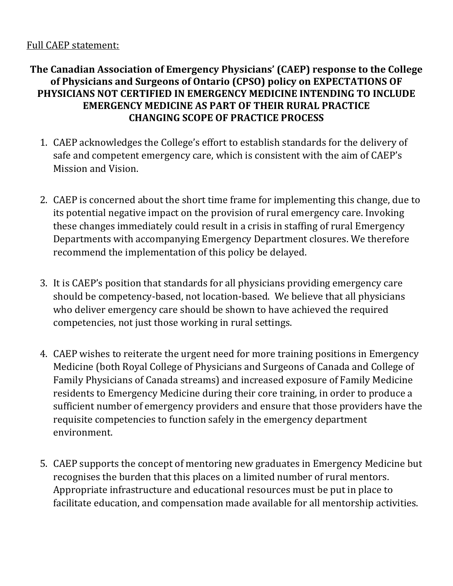#### Full CAEP statement:

## **The Canadian Association of Emergency Physicians' (CAEP) response to the College of Physicians and Surgeons of Ontario (CPSO) policy on EXPECTATIONS OF PHYSICIANS NOT CERTIFIED IN EMERGENCY MEDICINE INTENDING TO INCLUDE EMERGENCY MEDICINE AS PART OF THEIR RURAL PRACTICE CHANGING SCOPE OF PRACTICE PROCESS**

- 1. CAEP acknowledges the College's effort to establish standards for the delivery of safe and competent emergency care, which is consistent with the aim of CAEP's Mission and Vision.
- 2. CAEP is concerned about the short time frame for implementing this change, due to its potential negative impact on the provision of rural emergency care. Invoking these changes immediately could result in a crisis in staffing of rural Emergency Departments with accompanying Emergency Department closures. We therefore recommend the implementation of this policy be delayed.
- 3. It is CAEP's position that standards for all physicians providing emergency care should be competency-based, not location-based. We believe that all physicians who deliver emergency care should be shown to have achieved the required competencies, not just those working in rural settings.
- 4. CAEP wishes to reiterate the urgent need for more training positions in Emergency Medicine (both Royal College of Physicians and Surgeons of Canada and College of Family Physicians of Canada streams) and increased exposure of Family Medicine residents to Emergency Medicine during their core training, in order to produce a sufficient number of emergency providers and ensure that those providers have the requisite competencies to function safely in the emergency department environment.
- 5. CAEP supports the concept of mentoring new graduates in Emergency Medicine but recognises the burden that this places on a limited number of rural mentors. Appropriate infrastructure and educational resources must be put in place to facilitate education, and compensation made available for all mentorship activities.